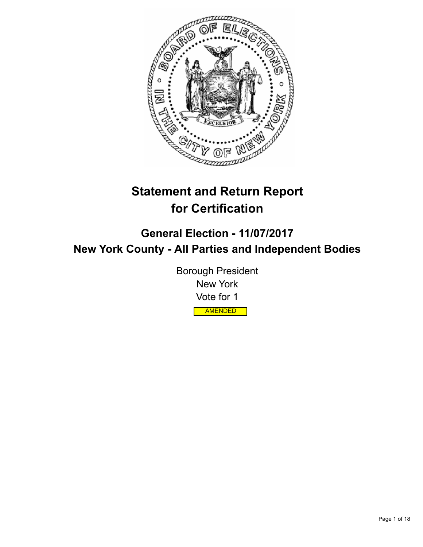

# **Statement and Return Report for Certification**

**General Election - 11/07/2017 New York County - All Parties and Independent Bodies**

> Borough President New York Vote for 1 AMENDED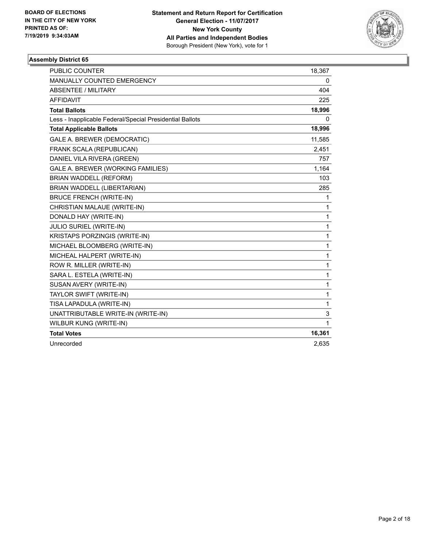

| <b>PUBLIC COUNTER</b>                                    | 18,367 |
|----------------------------------------------------------|--------|
| <b>MANUALLY COUNTED EMERGENCY</b>                        | 0      |
| ABSENTEE / MILITARY                                      | 404    |
| <b>AFFIDAVIT</b>                                         | 225    |
| <b>Total Ballots</b>                                     | 18,996 |
| Less - Inapplicable Federal/Special Presidential Ballots | 0      |
| <b>Total Applicable Ballots</b>                          | 18,996 |
| GALE A. BREWER (DEMOCRATIC)                              | 11,585 |
| FRANK SCALA (REPUBLICAN)                                 | 2,451  |
| DANIEL VILA RIVERA (GREEN)                               | 757    |
| GALE A. BREWER (WORKING FAMILIES)                        | 1,164  |
| <b>BRIAN WADDELL (REFORM)</b>                            | 103    |
| BRIAN WADDELL (LIBERTARIAN)                              | 285    |
| <b>BRUCE FRENCH (WRITE-IN)</b>                           | 1      |
| CHRISTIAN MALAUE (WRITE-IN)                              | 1      |
| DONALD HAY (WRITE-IN)                                    | 1      |
| JULIO SURIEL (WRITE-IN)                                  | 1      |
| KRISTAPS PORZINGIS (WRITE-IN)                            | 1      |
| MICHAEL BLOOMBERG (WRITE-IN)                             | 1      |
| MICHEAL HALPERT (WRITE-IN)                               | 1      |
| ROW R. MILLER (WRITE-IN)                                 | 1      |
| SARA L. ESTELA (WRITE-IN)                                | 1      |
| SUSAN AVERY (WRITE-IN)                                   | 1      |
| TAYLOR SWIFT (WRITE-IN)                                  | 1      |
| TISA LAPADULA (WRITE-IN)                                 | 1      |
| UNATTRIBUTABLE WRITE-IN (WRITE-IN)                       | 3      |
| WILBUR KUNG (WRITE-IN)                                   | 1      |
| <b>Total Votes</b>                                       | 16,361 |
| Unrecorded                                               | 2,635  |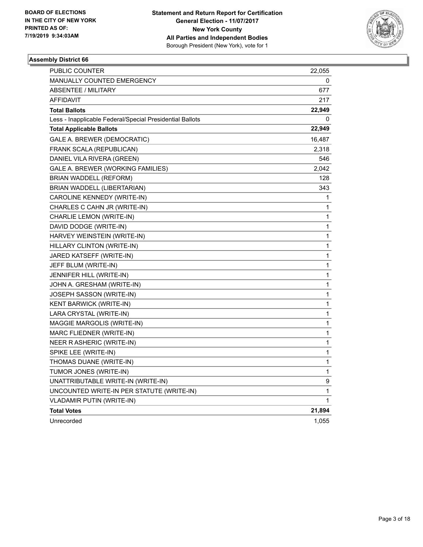

| PUBLIC COUNTER                                           | 22,055 |
|----------------------------------------------------------|--------|
| <b>MANUALLY COUNTED EMERGENCY</b>                        | 0      |
| <b>ABSENTEE / MILITARY</b>                               | 677    |
| AFFIDAVIT                                                | 217    |
| <b>Total Ballots</b>                                     | 22,949 |
| Less - Inapplicable Federal/Special Presidential Ballots | 0      |
| <b>Total Applicable Ballots</b>                          | 22,949 |
| GALE A. BREWER (DEMOCRATIC)                              | 16,487 |
| FRANK SCALA (REPUBLICAN)                                 | 2,318  |
| DANIEL VILA RIVERA (GREEN)                               | 546    |
| GALE A. BREWER (WORKING FAMILIES)                        | 2,042  |
| BRIAN WADDELL (REFORM)                                   | 128    |
| BRIAN WADDELL (LIBERTARIAN)                              | 343    |
| CAROLINE KENNEDY (WRITE-IN)                              | 1      |
| CHARLES C CAHN JR (WRITE-IN)                             | 1      |
| CHARLIE LEMON (WRITE-IN)                                 | 1      |
| DAVID DODGE (WRITE-IN)                                   | 1      |
| HARVEY WEINSTEIN (WRITE-IN)                              | 1      |
| HILLARY CLINTON (WRITE-IN)                               | 1      |
| JARED KATSEFF (WRITE-IN)                                 | 1      |
| JEFF BLUM (WRITE-IN)                                     | 1      |
| JENNIFER HILL (WRITE-IN)                                 | 1      |
| JOHN A. GRESHAM (WRITE-IN)                               | 1      |
| JOSEPH SASSON (WRITE-IN)                                 | 1      |
| KENT BARWICK (WRITE-IN)                                  | 1      |
| LARA CRYSTAL (WRITE-IN)                                  | 1      |
| MAGGIE MARGOLIS (WRITE-IN)                               | 1      |
| MARC FLIEDNER (WRITE-IN)                                 | 1      |
| NEER R ASHERIC (WRITE-IN)                                | 1      |
| SPIKE LEE (WRITE-IN)                                     | 1      |
| THOMAS DUANE (WRITE-IN)                                  | 1      |
| TUMOR JONES (WRITE-IN)                                   | 1      |
| UNATTRIBUTABLE WRITE-IN (WRITE-IN)                       | 9      |
| UNCOUNTED WRITE-IN PER STATUTE (WRITE-IN)                | 1      |
| <b>VLADAMIR PUTIN (WRITE-IN)</b>                         | 1      |
| <b>Total Votes</b>                                       | 21,894 |
| Unrecorded                                               | 1,055  |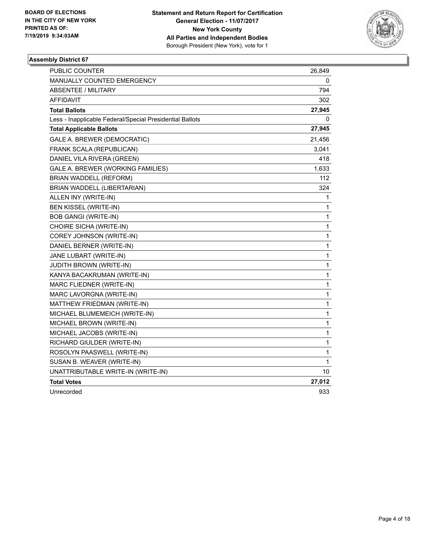

| <b>PUBLIC COUNTER</b>                                    | 26,849 |
|----------------------------------------------------------|--------|
| <b>MANUALLY COUNTED EMERGENCY</b>                        | 0      |
| ABSENTEE / MILITARY                                      | 794    |
| <b>AFFIDAVIT</b>                                         | 302    |
| <b>Total Ballots</b>                                     | 27,945 |
| Less - Inapplicable Federal/Special Presidential Ballots | 0      |
| <b>Total Applicable Ballots</b>                          | 27,945 |
| GALE A. BREWER (DEMOCRATIC)                              | 21,456 |
| FRANK SCALA (REPUBLICAN)                                 | 3,041  |
| DANIEL VILA RIVERA (GREEN)                               | 418    |
| GALE A. BREWER (WORKING FAMILIES)                        | 1,633  |
| BRIAN WADDELL (REFORM)                                   | 112    |
| BRIAN WADDELL (LIBERTARIAN)                              | 324    |
| ALLEN INY (WRITE-IN)                                     | 1      |
| <b>BEN KISSEL (WRITE-IN)</b>                             | 1      |
| <b>BOB GANGI (WRITE-IN)</b>                              | 1      |
| CHOIRE SICHA (WRITE-IN)                                  | 1      |
| COREY JOHNSON (WRITE-IN)                                 | 1      |
| DANIEL BERNER (WRITE-IN)                                 | 1      |
| JANE LUBART (WRITE-IN)                                   | 1      |
| <b>JUDITH BROWN (WRITE-IN)</b>                           | 1      |
| KANYA BACAKRUMAN (WRITE-IN)                              | 1      |
| MARC FLIEDNER (WRITE-IN)                                 | 1      |
| MARC LAVORGNA (WRITE-IN)                                 | 1      |
| MATTHEW FRIEDMAN (WRITE-IN)                              | 1      |
| MICHAEL BLUMEMEICH (WRITE-IN)                            | 1      |
| MICHAEL BROWN (WRITE-IN)                                 | 1      |
| MICHAEL JACOBS (WRITE-IN)                                | 1      |
| RICHARD GIULDER (WRITE-IN)                               | 1      |
| ROSOLYN PAASWELL (WRITE-IN)                              | 1      |
| SUSAN B. WEAVER (WRITE-IN)                               | 1      |
| UNATTRIBUTABLE WRITE-IN (WRITE-IN)                       | 10     |
| <b>Total Votes</b>                                       | 27,012 |
| Unrecorded                                               | 933    |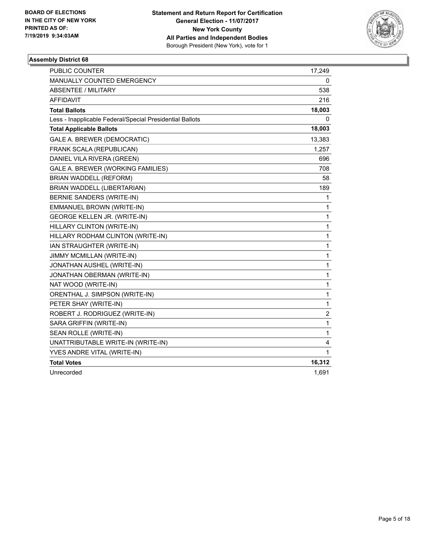

| <b>PUBLIC COUNTER</b>                                    | 17,249         |
|----------------------------------------------------------|----------------|
| MANUALLY COUNTED EMERGENCY                               | 0              |
| <b>ABSENTEE / MILITARY</b>                               | 538            |
| <b>AFFIDAVIT</b>                                         | 216            |
| <b>Total Ballots</b>                                     | 18,003         |
| Less - Inapplicable Federal/Special Presidential Ballots | 0              |
| <b>Total Applicable Ballots</b>                          | 18,003         |
| GALE A. BREWER (DEMOCRATIC)                              | 13,383         |
| FRANK SCALA (REPUBLICAN)                                 | 1,257          |
| DANIEL VILA RIVERA (GREEN)                               | 696            |
| GALE A. BREWER (WORKING FAMILIES)                        | 708            |
| BRIAN WADDELL (REFORM)                                   | 58             |
| BRIAN WADDELL (LIBERTARIAN)                              | 189            |
| BERNIE SANDERS (WRITE-IN)                                | 1              |
| EMMANUEL BROWN (WRITE-IN)                                | 1              |
| GEORGE KELLEN JR. (WRITE-IN)                             | 1              |
| HILLARY CLINTON (WRITE-IN)                               | 1              |
| HILLARY RODHAM CLINTON (WRITE-IN)                        | 1              |
| IAN STRAUGHTER (WRITE-IN)                                | 1              |
| JIMMY MCMILLAN (WRITE-IN)                                | 1              |
| JONATHAN AUSHEL (WRITE-IN)                               | $\mathbf{1}$   |
| JONATHAN OBERMAN (WRITE-IN)                              | 1              |
| NAT WOOD (WRITE-IN)                                      | 1              |
| ORENTHAL J. SIMPSON (WRITE-IN)                           | 1              |
| PETER SHAY (WRITE-IN)                                    | 1              |
| ROBERT J. RODRIGUEZ (WRITE-IN)                           | $\overline{c}$ |
| SARA GRIFFIN (WRITE-IN)                                  | 1              |
| SEAN ROLLE (WRITE-IN)                                    | 1              |
| UNATTRIBUTABLE WRITE-IN (WRITE-IN)                       | 4              |
| YVES ANDRE VITAL (WRITE-IN)                              | 1              |
| <b>Total Votes</b>                                       | 16,312         |
| Unrecorded                                               | 1,691          |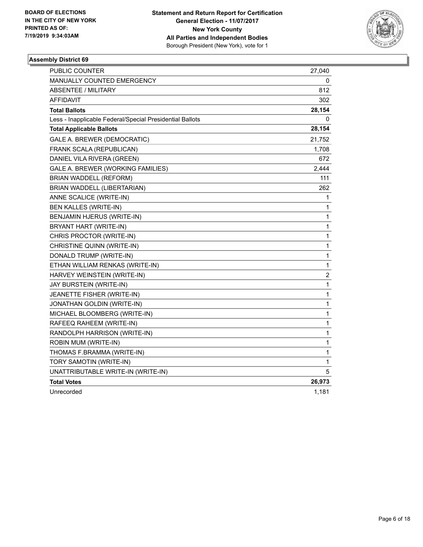

| <b>PUBLIC COUNTER</b>                                    | 27,040       |
|----------------------------------------------------------|--------------|
| MANUALLY COUNTED EMERGENCY                               | 0            |
| <b>ABSENTEE / MILITARY</b>                               | 812          |
| <b>AFFIDAVIT</b>                                         | 302          |
| <b>Total Ballots</b>                                     | 28,154       |
| Less - Inapplicable Federal/Special Presidential Ballots | 0            |
| <b>Total Applicable Ballots</b>                          | 28,154       |
| GALE A. BREWER (DEMOCRATIC)                              | 21,752       |
| FRANK SCALA (REPUBLICAN)                                 | 1,708        |
| DANIEL VILA RIVERA (GREEN)                               | 672          |
| GALE A. BREWER (WORKING FAMILIES)                        | 2,444        |
| BRIAN WADDELL (REFORM)                                   | 111          |
| BRIAN WADDELL (LIBERTARIAN)                              | 262          |
| ANNE SCALICE (WRITE-IN)                                  | 1            |
| BEN KALLES (WRITE-IN)                                    | 1            |
| BENJAMIN HJERUS (WRITE-IN)                               | $\mathbf{1}$ |
| BRYANT HART (WRITE-IN)                                   | $\mathbf 1$  |
| CHRIS PROCTOR (WRITE-IN)                                 | 1            |
| CHRISTINE QUINN (WRITE-IN)                               | 1            |
| DONALD TRUMP (WRITE-IN)                                  | 1            |
| ETHAN WILLIAM RENKAS (WRITE-IN)                          | $\mathbf{1}$ |
| HARVEY WEINSTEIN (WRITE-IN)                              | 2            |
| JAY BURSTEIN (WRITE-IN)                                  | 1            |
| JEANETTE FISHER (WRITE-IN)                               | 1            |
| JONATHAN GOLDIN (WRITE-IN)                               | 1            |
| MICHAEL BLOOMBERG (WRITE-IN)                             | $\mathbf{1}$ |
| RAFEEQ RAHEEM (WRITE-IN)                                 | 1            |
| RANDOLPH HARRISON (WRITE-IN)                             | 1            |
| ROBIN MUM (WRITE-IN)                                     | 1            |
| THOMAS F.BRAMMA (WRITE-IN)                               | $\mathbf{1}$ |
| TORY SAMOTIN (WRITE-IN)                                  | 1            |
| UNATTRIBUTABLE WRITE-IN (WRITE-IN)                       | 5            |
| <b>Total Votes</b>                                       | 26,973       |
| Unrecorded                                               | 1,181        |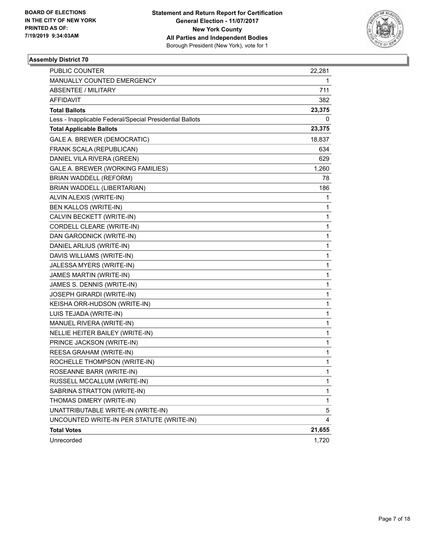

| PUBLIC COUNTER                                           | 22,281 |
|----------------------------------------------------------|--------|
| MANUALLY COUNTED EMERGENCY                               | 1      |
| <b>ABSENTEE / MILITARY</b>                               | 711    |
| <b>AFFIDAVIT</b>                                         | 382    |
| <b>Total Ballots</b>                                     | 23,375 |
| Less - Inapplicable Federal/Special Presidential Ballots | 0      |
| <b>Total Applicable Ballots</b>                          | 23,375 |
| GALE A. BREWER (DEMOCRATIC)                              | 18,837 |
| FRANK SCALA (REPUBLICAN)                                 | 634    |
| DANIEL VILA RIVERA (GREEN)                               | 629    |
| GALE A. BREWER (WORKING FAMILIES)                        | 1,260  |
| BRIAN WADDELL (REFORM)                                   | 78     |
| BRIAN WADDELL (LIBERTARIAN)                              | 186    |
| ALVIN ALEXIS (WRITE-IN)                                  | 1      |
| BEN KALLOS (WRITE-IN)                                    | 1      |
| CALVIN BECKETT (WRITE-IN)                                | 1      |
| CORDELL CLEARE (WRITE-IN)                                | 1      |
| DAN GARODNICK (WRITE-IN)                                 | 1      |
| DANIEL ARLIUS (WRITE-IN)                                 | 1      |
| DAVIS WILLIAMS (WRITE-IN)                                | 1      |
| JALESSA MYERS (WRITE-IN)                                 | 1      |
| JAMES MARTIN (WRITE-IN)                                  | 1      |
| JAMES S. DENNIS (WRITE-IN)                               | 1      |
| JOSEPH GIRARDI (WRITE-IN)                                | 1      |
| KEISHA ORR-HUDSON (WRITE-IN)                             | 1      |
| LUIS TEJADA (WRITE-IN)                                   | 1      |
| MANUEL RIVERA (WRITE-IN)                                 | 1      |
| NELLIE HEITER BAILEY (WRITE-IN)                          | 1      |
| PRINCE JACKSON (WRITE-IN)                                | 1      |
| REESA GRAHAM (WRITE-IN)                                  | 1      |
| ROCHELLE THOMPSON (WRITE-IN)                             | 1      |
| ROSEANNE BARR (WRITE-IN)                                 | 1      |
| RUSSELL MCCALLUM (WRITE-IN)                              | 1      |
| SABRINA STRATTON (WRITE-IN)                              | 1      |
| THOMAS DIMERY (WRITE-IN)                                 | 1      |
| UNATTRIBUTABLE WRITE-IN (WRITE-IN)                       | 5      |
| UNCOUNTED WRITE-IN PER STATUTE (WRITE-IN)                | 4      |
| <b>Total Votes</b>                                       | 21,655 |
| Unrecorded                                               | 1,720  |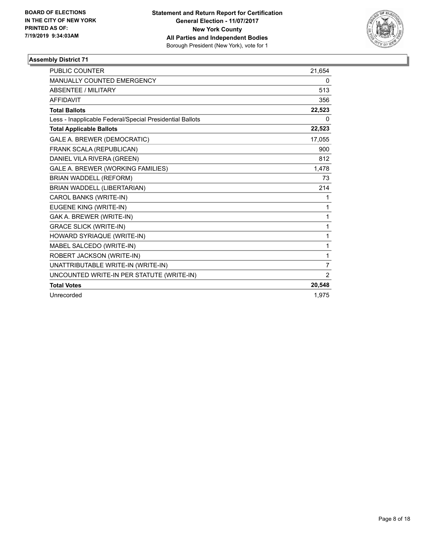

| <b>PUBLIC COUNTER</b>                                    | 21,654         |
|----------------------------------------------------------|----------------|
| <b>MANUALLY COUNTED EMERGENCY</b>                        | 0              |
| ABSENTEE / MILITARY                                      | 513            |
| <b>AFFIDAVIT</b>                                         | 356            |
| <b>Total Ballots</b>                                     | 22,523         |
| Less - Inapplicable Federal/Special Presidential Ballots | 0              |
| <b>Total Applicable Ballots</b>                          | 22,523         |
| GALE A. BREWER (DEMOCRATIC)                              | 17,055         |
| FRANK SCALA (REPUBLICAN)                                 | 900            |
| DANIEL VILA RIVERA (GREEN)                               | 812            |
| GALE A. BREWER (WORKING FAMILIES)                        | 1,478          |
| <b>BRIAN WADDELL (REFORM)</b>                            | 73             |
| BRIAN WADDELL (LIBERTARIAN)                              | 214            |
| CAROL BANKS (WRITE-IN)                                   | 1              |
| EUGENE KING (WRITE-IN)                                   | 1              |
| GAK A. BREWER (WRITE-IN)                                 | 1              |
| <b>GRACE SLICK (WRITE-IN)</b>                            | 1              |
| HOWARD SYRIAQUE (WRITE-IN)                               | 1              |
| MABEL SALCEDO (WRITE-IN)                                 | 1              |
| ROBERT JACKSON (WRITE-IN)                                | 1              |
| UNATTRIBUTABLE WRITE-IN (WRITE-IN)                       | $\overline{7}$ |
| UNCOUNTED WRITE-IN PER STATUTE (WRITE-IN)                | $\overline{2}$ |
| <b>Total Votes</b>                                       | 20,548         |
| Unrecorded                                               | 1,975          |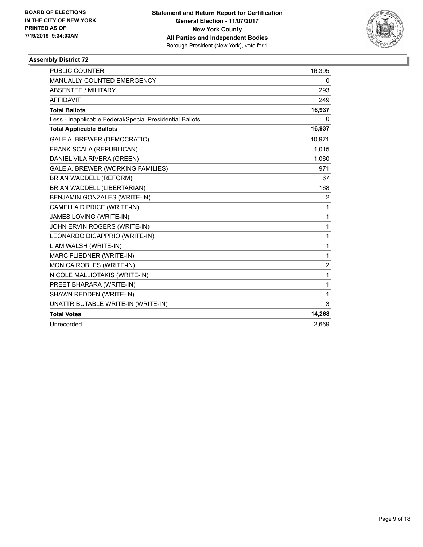

| <b>PUBLIC COUNTER</b>                                    | 16,395         |
|----------------------------------------------------------|----------------|
| MANUALLY COUNTED EMERGENCY                               | 0              |
| <b>ABSENTEE / MILITARY</b>                               | 293            |
| <b>AFFIDAVIT</b>                                         | 249            |
| <b>Total Ballots</b>                                     | 16,937         |
| Less - Inapplicable Federal/Special Presidential Ballots | 0              |
| <b>Total Applicable Ballots</b>                          | 16,937         |
| GALE A. BREWER (DEMOCRATIC)                              | 10,971         |
| FRANK SCALA (REPUBLICAN)                                 | 1,015          |
| DANIEL VILA RIVERA (GREEN)                               | 1,060          |
| GALE A. BREWER (WORKING FAMILIES)                        | 971            |
| <b>BRIAN WADDELL (REFORM)</b>                            | 67             |
| BRIAN WADDELL (LIBERTARIAN)                              | 168            |
| <b>BENJAMIN GONZALES (WRITE-IN)</b>                      | $\overline{2}$ |
| CAMELLA D PRICE (WRITE-IN)                               | 1              |
| JAMES LOVING (WRITE-IN)                                  | $\mathbf{1}$   |
| JOHN ERVIN ROGERS (WRITE-IN)                             | $\mathbf{1}$   |
| LEONARDO DICAPPRIO (WRITE-IN)                            | $\mathbf{1}$   |
| LIAM WALSH (WRITE-IN)                                    | 1              |
| MARC FLIEDNER (WRITE-IN)                                 | $\mathbf{1}$   |
| MONICA ROBLES (WRITE-IN)                                 | $\overline{2}$ |
| NICOLE MALLIOTAKIS (WRITE-IN)                            | 1              |
| PREET BHARARA (WRITE-IN)                                 | 1              |
| SHAWN REDDEN (WRITE-IN)                                  | 1              |
| UNATTRIBUTABLE WRITE-IN (WRITE-IN)                       | 3              |
| <b>Total Votes</b>                                       | 14,268         |
| Unrecorded                                               | 2.669          |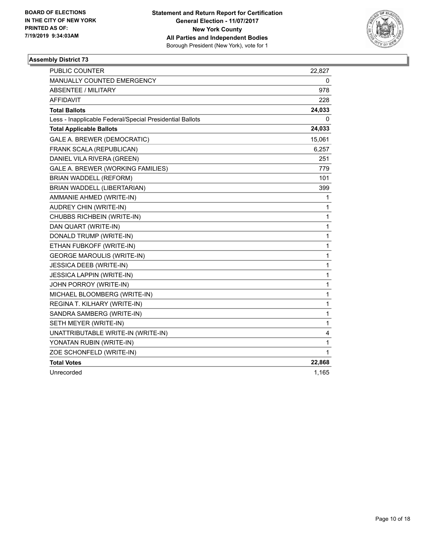

| <b>PUBLIC COUNTER</b>                                    | 22,827       |
|----------------------------------------------------------|--------------|
| MANUALLY COUNTED EMERGENCY                               | 0            |
| <b>ABSENTEE / MILITARY</b>                               | 978          |
| AFFIDAVIT                                                | 228          |
| <b>Total Ballots</b>                                     | 24,033       |
| Less - Inapplicable Federal/Special Presidential Ballots | 0            |
| <b>Total Applicable Ballots</b>                          | 24,033       |
| GALE A. BREWER (DEMOCRATIC)                              | 15,061       |
| FRANK SCALA (REPUBLICAN)                                 | 6,257        |
| DANIEL VILA RIVERA (GREEN)                               | 251          |
| GALE A. BREWER (WORKING FAMILIES)                        | 779          |
| BRIAN WADDELL (REFORM)                                   | 101          |
| BRIAN WADDELL (LIBERTARIAN)                              | 399          |
| AMMANIE AHMED (WRITE-IN)                                 | 1            |
| AUDREY CHIN (WRITE-IN)                                   | 1            |
| CHUBBS RICHBEIN (WRITE-IN)                               | 1            |
| DAN QUART (WRITE-IN)                                     | 1            |
| DONALD TRUMP (WRITE-IN)                                  | 1            |
| ETHAN FUBKOFF (WRITE-IN)                                 | 1            |
| <b>GEORGE MAROULIS (WRITE-IN)</b>                        | 1            |
| <b>JESSICA DEEB (WRITE-IN)</b>                           | 1            |
| <b>JESSICA LAPPIN (WRITE-IN)</b>                         | 1            |
| JOHN PORROY (WRITE-IN)                                   | 1            |
| MICHAEL BLOOMBERG (WRITE-IN)                             | 1            |
| REGINA T. KILHARY (WRITE-IN)                             | 1            |
| SANDRA SAMBERG (WRITE-IN)                                | 1            |
| SETH MEYER (WRITE-IN)                                    | $\mathbf{1}$ |
| UNATTRIBUTABLE WRITE-IN (WRITE-IN)                       | 4            |
| YONATAN RUBIN (WRITE-IN)                                 | 1            |
| ZOE SCHONFELD (WRITE-IN)                                 | 1            |
| <b>Total Votes</b>                                       | 22,868       |
| Unrecorded                                               | 1,165        |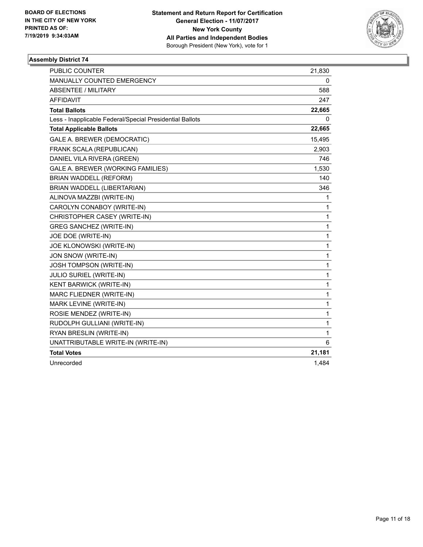

| <b>PUBLIC COUNTER</b>                                    | 21,830 |
|----------------------------------------------------------|--------|
| MANUALLY COUNTED EMERGENCY                               | 0      |
| <b>ABSENTEE / MILITARY</b>                               | 588    |
| <b>AFFIDAVIT</b>                                         | 247    |
| <b>Total Ballots</b>                                     | 22,665 |
| Less - Inapplicable Federal/Special Presidential Ballots | 0      |
| <b>Total Applicable Ballots</b>                          | 22,665 |
| GALE A. BREWER (DEMOCRATIC)                              | 15,495 |
| FRANK SCALA (REPUBLICAN)                                 | 2,903  |
| DANIEL VILA RIVERA (GREEN)                               | 746    |
| GALE A. BREWER (WORKING FAMILIES)                        | 1,530  |
| BRIAN WADDELL (REFORM)                                   | 140    |
| BRIAN WADDELL (LIBERTARIAN)                              | 346    |
| ALINOVA MAZZBI (WRITE-IN)                                | 1      |
| CAROLYN CONABOY (WRITE-IN)                               | 1      |
| CHRISTOPHER CASEY (WRITE-IN)                             | 1      |
| <b>GREG SANCHEZ (WRITE-IN)</b>                           | 1      |
| JOE DOE (WRITE-IN)                                       | 1      |
| JOE KLONOWSKI (WRITE-IN)                                 | 1      |
| JON SNOW (WRITE-IN)                                      | 1      |
| JOSH TOMPSON (WRITE-IN)                                  | 1      |
| JULIO SURIEL (WRITE-IN)                                  | 1      |
| KENT BARWICK (WRITE-IN)                                  | 1      |
| MARC FLIEDNER (WRITE-IN)                                 | 1      |
| MARK LEVINE (WRITE-IN)                                   | 1      |
| ROSIE MENDEZ (WRITE-IN)                                  | 1      |
| RUDOLPH GULLIANI (WRITE-IN)                              | 1      |
| RYAN BRESLIN (WRITE-IN)                                  | 1      |
| UNATTRIBUTABLE WRITE-IN (WRITE-IN)                       | 6      |
| <b>Total Votes</b>                                       | 21,181 |
| Unrecorded                                               | 1,484  |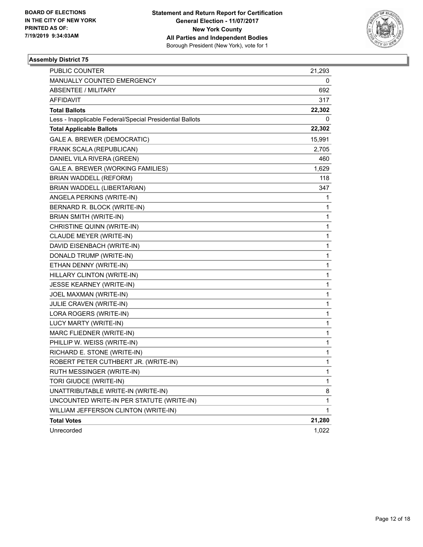

| <b>PUBLIC COUNTER</b>                                    | 21,293       |
|----------------------------------------------------------|--------------|
| MANUALLY COUNTED EMERGENCY                               | 0            |
| <b>ABSENTEE / MILITARY</b>                               | 692          |
| AFFIDAVIT                                                | 317          |
| <b>Total Ballots</b>                                     | 22,302       |
| Less - Inapplicable Federal/Special Presidential Ballots | 0            |
| <b>Total Applicable Ballots</b>                          | 22,302       |
| GALE A. BREWER (DEMOCRATIC)                              | 15,991       |
| FRANK SCALA (REPUBLICAN)                                 | 2,705        |
| DANIEL VILA RIVERA (GREEN)                               | 460          |
| GALE A. BREWER (WORKING FAMILIES)                        | 1,629        |
| <b>BRIAN WADDELL (REFORM)</b>                            | 118          |
| BRIAN WADDELL (LIBERTARIAN)                              | 347          |
| ANGELA PERKINS (WRITE-IN)                                | 1            |
| BERNARD R. BLOCK (WRITE-IN)                              | 1            |
| BRIAN SMITH (WRITE-IN)                                   | 1            |
| CHRISTINE QUINN (WRITE-IN)                               | 1            |
| CLAUDE MEYER (WRITE-IN)                                  | 1            |
| DAVID EISENBACH (WRITE-IN)                               | $\mathbf{1}$ |
| DONALD TRUMP (WRITE-IN)                                  | $\mathbf 1$  |
| ETHAN DENNY (WRITE-IN)                                   | 1            |
| HILLARY CLINTON (WRITE-IN)                               | $\mathbf 1$  |
| JESSE KEARNEY (WRITE-IN)                                 | 1            |
| JOEL MAXMAN (WRITE-IN)                                   | 1            |
| JULIE CRAVEN (WRITE-IN)                                  | $\mathbf{1}$ |
| LORA ROGERS (WRITE-IN)                                   | $\mathbf 1$  |
| LUCY MARTY (WRITE-IN)                                    | 1            |
| MARC FLIEDNER (WRITE-IN)                                 | $\mathbf 1$  |
| PHILLIP W. WEISS (WRITE-IN)                              | 1            |
| RICHARD E. STONE (WRITE-IN)                              | 1            |
| ROBERT PETER CUTHBERT JR. (WRITE-IN)                     | 1            |
| RUTH MESSINGER (WRITE-IN)                                | $\mathbf{1}$ |
| TORI GIUDCE (WRITE-IN)                                   | 1            |
| UNATTRIBUTABLE WRITE-IN (WRITE-IN)                       | 8            |
| UNCOUNTED WRITE-IN PER STATUTE (WRITE-IN)                | 1            |
| WILLIAM JEFFERSON CLINTON (WRITE-IN)                     | 1            |
| <b>Total Votes</b>                                       | 21,280       |
| Unrecorded                                               | 1,022        |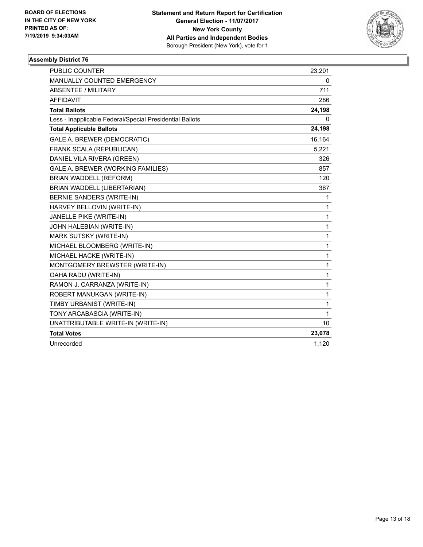

| <b>PUBLIC COUNTER</b>                                    | 23,201 |
|----------------------------------------------------------|--------|
| <b>MANUALLY COUNTED EMERGENCY</b>                        | 0      |
| ABSENTEE / MILITARY                                      | 711    |
| <b>AFFIDAVIT</b>                                         | 286    |
| <b>Total Ballots</b>                                     | 24,198 |
| Less - Inapplicable Federal/Special Presidential Ballots | 0      |
| <b>Total Applicable Ballots</b>                          | 24,198 |
| GALE A. BREWER (DEMOCRATIC)                              | 16,164 |
| FRANK SCALA (REPUBLICAN)                                 | 5,221  |
| DANIEL VILA RIVERA (GREEN)                               | 326    |
| GALE A. BREWER (WORKING FAMILIES)                        | 857    |
| BRIAN WADDELL (REFORM)                                   | 120    |
| BRIAN WADDELL (LIBERTARIAN)                              | 367    |
| BERNIE SANDERS (WRITE-IN)                                | 1      |
| HARVEY BELLOVIN (WRITE-IN)                               | 1      |
| JANELLE PIKE (WRITE-IN)                                  | 1      |
| JOHN HALEBIAN (WRITE-IN)                                 | 1      |
| MARK SUTSKY (WRITE-IN)                                   | 1      |
| MICHAEL BLOOMBERG (WRITE-IN)                             | 1      |
| MICHAEL HACKE (WRITE-IN)                                 | 1      |
| MONTGOMERY BREWSTER (WRITE-IN)                           | 1      |
| OAHA RADU (WRITE-IN)                                     | 1      |
| RAMON J. CARRANZA (WRITE-IN)                             | 1      |
| ROBERT MANUKGAN (WRITE-IN)                               | 1      |
| TIMBY URBANIST (WRITE-IN)                                | 1      |
| TONY ARCABASCIA (WRITE-IN)                               | 1      |
| UNATTRIBUTABLE WRITE-IN (WRITE-IN)                       | 10     |
| <b>Total Votes</b>                                       | 23,078 |
| Unrecorded                                               | 1,120  |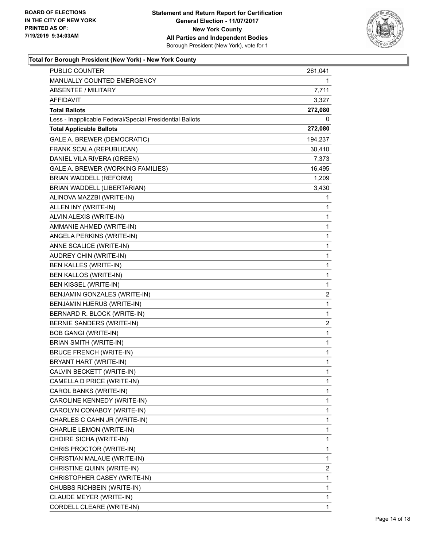

| PUBLIC COUNTER                                           | 261,041                 |
|----------------------------------------------------------|-------------------------|
| MANUALLY COUNTED EMERGENCY                               | 1                       |
| <b>ABSENTEE / MILITARY</b>                               | 7,711                   |
| AFFIDAVIT                                                | 3,327                   |
| <b>Total Ballots</b>                                     | 272,080                 |
| Less - Inapplicable Federal/Special Presidential Ballots | 0                       |
| <b>Total Applicable Ballots</b>                          | 272,080                 |
| GALE A. BREWER (DEMOCRATIC)                              | 194,237                 |
| FRANK SCALA (REPUBLICAN)                                 | 30,410                  |
| DANIEL VILA RIVERA (GREEN)                               | 7,373                   |
| GALE A. BREWER (WORKING FAMILIES)                        | 16,495                  |
| BRIAN WADDELL (REFORM)                                   | 1,209                   |
| BRIAN WADDELL (LIBERTARIAN)                              | 3,430                   |
| ALINOVA MAZZBI (WRITE-IN)                                | 1                       |
| ALLEN INY (WRITE-IN)                                     | 1                       |
| ALVIN ALEXIS (WRITE-IN)                                  | 1                       |
| AMMANIE AHMED (WRITE-IN)                                 | 1                       |
| ANGELA PERKINS (WRITE-IN)                                | 1                       |
| ANNE SCALICE (WRITE-IN)                                  | 1                       |
| AUDREY CHIN (WRITE-IN)                                   | 1                       |
| BEN KALLES (WRITE-IN)                                    | 1                       |
| BEN KALLOS (WRITE-IN)                                    | 1                       |
| <b>BEN KISSEL (WRITE-IN)</b>                             | 1                       |
| BENJAMIN GONZALES (WRITE-IN)                             | 2                       |
| BENJAMIN HJERUS (WRITE-IN)                               | 1                       |
| BERNARD R. BLOCK (WRITE-IN)                              | 1                       |
| BERNIE SANDERS (WRITE-IN)                                | $\overline{\mathbf{c}}$ |
| <b>BOB GANGI (WRITE-IN)</b>                              | 1                       |
| BRIAN SMITH (WRITE-IN)                                   | 1                       |
| <b>BRUCE FRENCH (WRITE-IN)</b>                           | 1                       |
| BRYANT HART (WRITE-IN)                                   | 1                       |
| CALVIN BECKETT (WRITE-IN)                                | $\mathbf{1}$            |
| CAMELLA D PRICE (WRITE-IN)                               | 1                       |
| CAROL BANKS (WRITE-IN)                                   | 1                       |
| CAROLINE KENNEDY (WRITE-IN)                              | 1                       |
| CAROLYN CONABOY (WRITE-IN)                               | 1                       |
| CHARLES C CAHN JR (WRITE-IN)                             | 1                       |
| CHARLIE LEMON (WRITE-IN)                                 | 1                       |
| CHOIRE SICHA (WRITE-IN)                                  | 1                       |
| CHRIS PROCTOR (WRITE-IN)                                 | 1                       |
| CHRISTIAN MALAUE (WRITE-IN)                              | 1                       |
| CHRISTINE QUINN (WRITE-IN)                               | 2                       |
| CHRISTOPHER CASEY (WRITE-IN)                             | 1                       |
| CHUBBS RICHBEIN (WRITE-IN)                               | 1                       |
| CLAUDE MEYER (WRITE-IN)                                  | 1                       |
| CORDELL CLEARE (WRITE-IN)                                | 1                       |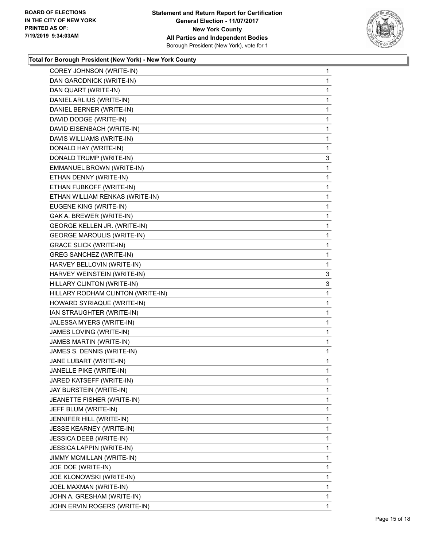

| COREY JOHNSON (WRITE-IN)          | $\mathbf{1}$ |
|-----------------------------------|--------------|
| DAN GARODNICK (WRITE-IN)          | 1            |
| DAN QUART (WRITE-IN)              | 1            |
| DANIEL ARLIUS (WRITE-IN)          | 1            |
| DANIEL BERNER (WRITE-IN)          | 1            |
| DAVID DODGE (WRITE-IN)            | 1            |
| DAVID EISENBACH (WRITE-IN)        | 1            |
| DAVIS WILLIAMS (WRITE-IN)         | 1            |
| DONALD HAY (WRITE-IN)             | 1            |
| DONALD TRUMP (WRITE-IN)           | 3            |
| EMMANUEL BROWN (WRITE-IN)         | 1            |
| ETHAN DENNY (WRITE-IN)            | 1            |
| ETHAN FUBKOFF (WRITE-IN)          | 1            |
| ETHAN WILLIAM RENKAS (WRITE-IN)   | 1            |
| EUGENE KING (WRITE-IN)            | 1            |
| GAK A. BREWER (WRITE-IN)          | 1            |
| GEORGE KELLEN JR. (WRITE-IN)      | 1            |
| <b>GEORGE MAROULIS (WRITE-IN)</b> | 1            |
| <b>GRACE SLICK (WRITE-IN)</b>     | 1            |
| <b>GREG SANCHEZ (WRITE-IN)</b>    | 1            |
| HARVEY BELLOVIN (WRITE-IN)        | 1            |
| HARVEY WEINSTEIN (WRITE-IN)       | 3            |
| HILLARY CLINTON (WRITE-IN)        | 3            |
| HILLARY RODHAM CLINTON (WRITE-IN) | 1            |
| HOWARD SYRIAQUE (WRITE-IN)        | 1            |
| IAN STRAUGHTER (WRITE-IN)         | 1            |
| JALESSA MYERS (WRITE-IN)          | 1            |
| JAMES LOVING (WRITE-IN)           | 1            |
| JAMES MARTIN (WRITE-IN)           | 1            |
| JAMES S. DENNIS (WRITE-IN)        | $\mathbf{1}$ |
| JANE LUBART (WRITE-IN)            | 1            |
| JANELLE PIKE (WRITE-IN)           | 1            |
| JARED KATSEFF (WRITE-IN)          | 1            |
| JAY BURSTEIN (WRITE-IN)           | 1            |
| JEANETTE FISHER (WRITE-IN)        | 1            |
| JEFF BLUM (WRITE-IN)              | 1            |
| JENNIFER HILL (WRITE-IN)          | 1            |
| <b>JESSE KEARNEY (WRITE-IN)</b>   | 1            |
| <b>JESSICA DEEB (WRITE-IN)</b>    | 1            |
| JESSICA LAPPIN (WRITE-IN)         | 1            |
| JIMMY MCMILLAN (WRITE-IN)         | 1            |
| JOE DOE (WRITE-IN)                | 1            |
| JOE KLONOWSKI (WRITE-IN)          | 1            |
| JOEL MAXMAN (WRITE-IN)            | 1            |
| JOHN A. GRESHAM (WRITE-IN)        | 1            |
| JOHN ERVIN ROGERS (WRITE-IN)      | 1            |
|                                   |              |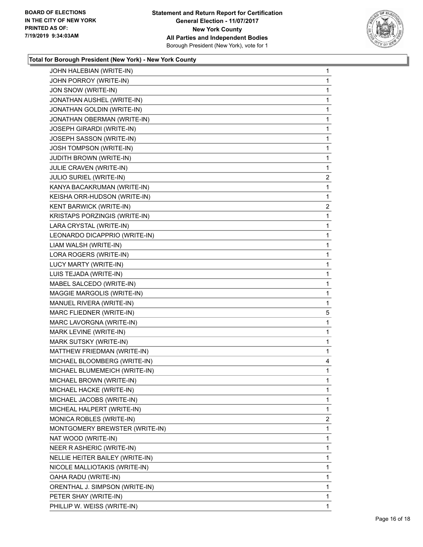

| JOHN HALEBIAN (WRITE-IN)        | 1              |
|---------------------------------|----------------|
| JOHN PORROY (WRITE-IN)          | 1              |
| JON SNOW (WRITE-IN)             | 1              |
| JONATHAN AUSHEL (WRITE-IN)      | 1              |
| JONATHAN GOLDIN (WRITE-IN)      | $\mathbf{1}$   |
| JONATHAN OBERMAN (WRITE-IN)     | 1              |
| JOSEPH GIRARDI (WRITE-IN)       | 1              |
| JOSEPH SASSON (WRITE-IN)        | $\mathbf{1}$   |
| <b>JOSH TOMPSON (WRITE-IN)</b>  | 1              |
| <b>JUDITH BROWN (WRITE-IN)</b>  | 1              |
| JULIE CRAVEN (WRITE-IN)         | 1              |
| <b>JULIO SURIEL (WRITE-IN)</b>  | 2              |
| KANYA BACAKRUMAN (WRITE-IN)     | 1              |
| KEISHA ORR-HUDSON (WRITE-IN)    | 1              |
| KENT BARWICK (WRITE-IN)         | $\overline{2}$ |
| KRISTAPS PORZINGIS (WRITE-IN)   | 1              |
| LARA CRYSTAL (WRITE-IN)         | 1              |
| LEONARDO DICAPPRIO (WRITE-IN)   | 1              |
| LIAM WALSH (WRITE-IN)           | 1              |
| LORA ROGERS (WRITE-IN)          | $\mathbf{1}$   |
| LUCY MARTY (WRITE-IN)           | 1              |
| LUIS TEJADA (WRITE-IN)          | 1              |
| MABEL SALCEDO (WRITE-IN)        | 1              |
| MAGGIE MARGOLIS (WRITE-IN)      | 1              |
| MANUEL RIVERA (WRITE-IN)        | 1              |
| MARC FLIEDNER (WRITE-IN)        | 5              |
| MARC LAVORGNA (WRITE-IN)        | 1              |
| MARK LEVINE (WRITE-IN)          | 1              |
| MARK SUTSKY (WRITE-IN)          | 1              |
| MATTHEW FRIEDMAN (WRITE-IN)     | 1              |
| MICHAEL BLOOMBERG (WRITE-IN)    | 4              |
| MICHAEL BLUMEMEICH (WRITE-IN)   | 1              |
| MICHAEL BROWN (WRITE-IN)        | 1              |
| MICHAEL HACKE (WRITE-IN)        | 1.             |
| MICHAEL JACOBS (WRITE-IN)       | 1              |
| MICHEAL HALPERT (WRITE-IN)      | 1              |
| MONICA ROBLES (WRITE-IN)        | $\overline{2}$ |
| MONTGOMERY BREWSTER (WRITE-IN)  | 1              |
| NAT WOOD (WRITE-IN)             | 1              |
| NEER R ASHERIC (WRITE-IN)       | 1              |
| NELLIE HEITER BAILEY (WRITE-IN) |                |
|                                 | 1              |
| NICOLE MALLIOTAKIS (WRITE-IN)   | 1              |
| OAHA RADU (WRITE-IN)            | 1              |
| ORENTHAL J. SIMPSON (WRITE-IN)  | 1              |
| PETER SHAY (WRITE-IN)           | 1              |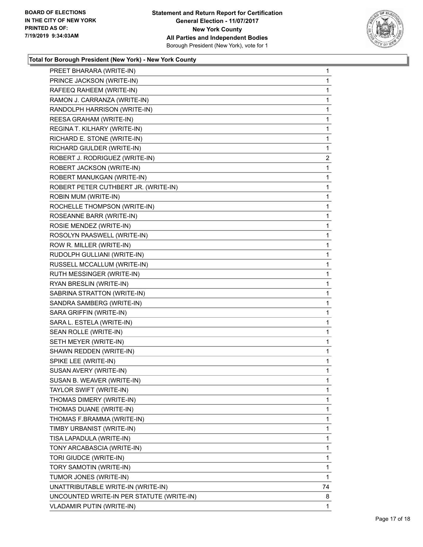

| PREET BHARARA (WRITE-IN)                  | $\mathbf{1}$   |
|-------------------------------------------|----------------|
| PRINCE JACKSON (WRITE-IN)                 | 1              |
| RAFEEQ RAHEEM (WRITE-IN)                  | 1              |
| RAMON J. CARRANZA (WRITE-IN)              | $\mathbf{1}$   |
| RANDOLPH HARRISON (WRITE-IN)              | 1              |
| REESA GRAHAM (WRITE-IN)                   | $\mathbf{1}$   |
| REGINA T. KILHARY (WRITE-IN)              | $\mathbf{1}$   |
| RICHARD E. STONE (WRITE-IN)               | $\mathbf{1}$   |
| RICHARD GIULDER (WRITE-IN)                | $\mathbf{1}$   |
| ROBERT J. RODRIGUEZ (WRITE-IN)            | $\overline{2}$ |
| ROBERT JACKSON (WRITE-IN)                 | 1              |
| ROBERT MANUKGAN (WRITE-IN)                | $\mathbf{1}$   |
| ROBERT PETER CUTHBERT JR. (WRITE-IN)      | $\mathbf{1}$   |
| ROBIN MUM (WRITE-IN)                      | $\mathbf{1}$   |
| ROCHELLE THOMPSON (WRITE-IN)              | 1              |
| ROSEANNE BARR (WRITE-IN)                  | $\mathbf{1}$   |
| ROSIE MENDEZ (WRITE-IN)                   | 1              |
| ROSOLYN PAASWELL (WRITE-IN)               | $\mathbf{1}$   |
| ROW R. MILLER (WRITE-IN)                  | $\mathbf{1}$   |
| RUDOLPH GULLIANI (WRITE-IN)               | $\mathbf 1$    |
| RUSSELL MCCALLUM (WRITE-IN)               | 1              |
| RUTH MESSINGER (WRITE-IN)                 | $\mathbf{1}$   |
| RYAN BRESLIN (WRITE-IN)                   | 1              |
| SABRINA STRATTON (WRITE-IN)               | $\mathbf{1}$   |
| SANDRA SAMBERG (WRITE-IN)                 | $\mathbf{1}$   |
| SARA GRIFFIN (WRITE-IN)                   | $\mathbf 1$    |
| SARA L. ESTELA (WRITE-IN)                 | 1              |
| SEAN ROLLE (WRITE-IN)                     | $\mathbf{1}$   |
| SETH MEYER (WRITE-IN)                     | 1              |
| SHAWN REDDEN (WRITE-IN)                   | $\mathbf{1}$   |
| SPIKE LEE (WRITE-IN)                      | $\mathbf{1}$   |
| SUSAN AVERY (WRITE-IN)                    | $\mathbf{1}$   |
| SUSAN B. WEAVER (WRITE-IN)                | $\mathbf{1}$   |
| TAYLOR SWIFT (WRITE-IN)                   | 1              |
| THOMAS DIMERY (WRITE-IN)                  | 1              |
| THOMAS DUANE (WRITE-IN)                   | 1              |
| THOMAS F.BRAMMA (WRITE-IN)                | 1              |
| TIMBY URBANIST (WRITE-IN)                 | 1              |
| TISA LAPADULA (WRITE-IN)                  | 1              |
| TONY ARCABASCIA (WRITE-IN)                | 1              |
| TORI GIUDCE (WRITE-IN)                    | 1              |
| TORY SAMOTIN (WRITE-IN)                   | 1              |
| TUMOR JONES (WRITE-IN)                    | 1              |
| UNATTRIBUTABLE WRITE-IN (WRITE-IN)        | 74             |
| UNCOUNTED WRITE-IN PER STATUTE (WRITE-IN) | 8              |
| VLADAMIR PUTIN (WRITE-IN)                 | 1              |